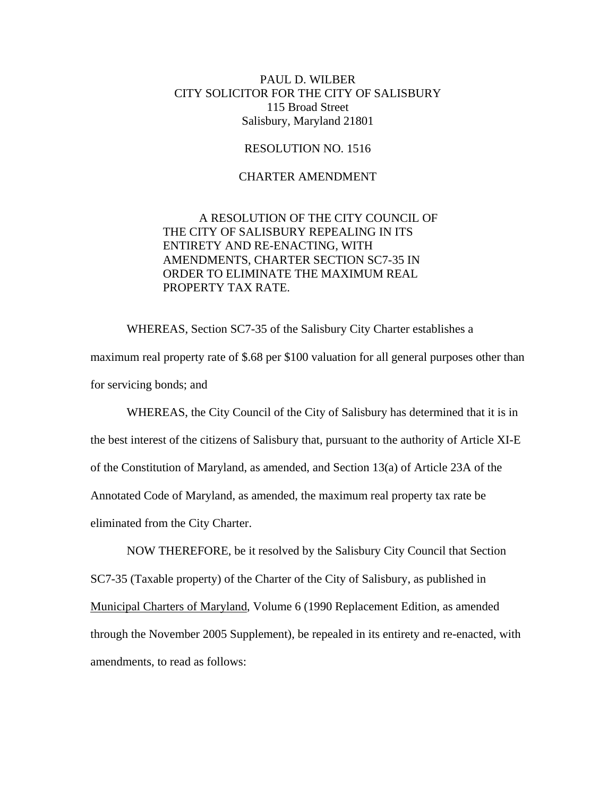## PAUL D. WILBER CITY SOLICITOR FOR THE CITY OF SALISBURY 115 Broad Street Salisbury, Maryland 21801

## RESOLUTION NO. 1516

## CHARTER AMENDMENT

## A RESOLUTION OF THE CITY COUNCIL OF THE CITY OF SALISBURY REPEALING IN ITS ENTIRETY AND RE-ENACTING, WITH AMENDMENTS, CHARTER SECTION SC7-35 IN ORDER TO ELIMINATE THE MAXIMUM REAL PROPERTY TAX RATE.

 WHEREAS, Section SC7-35 of the Salisbury City Charter establishes a maximum real property rate of \$.68 per \$100 valuation for all general purposes other than for servicing bonds; and

 WHEREAS, the City Council of the City of Salisbury has determined that it is in the best interest of the citizens of Salisbury that, pursuant to the authority of Article XI-E of the Constitution of Maryland, as amended, and Section 13(a) of Article 23A of the Annotated Code of Maryland, as amended, the maximum real property tax rate be eliminated from the City Charter.

 NOW THEREFORE, be it resolved by the Salisbury City Council that Section SC7-35 (Taxable property) of the Charter of the City of Salisbury, as published in Municipal Charters of Maryland, Volume 6 (1990 Replacement Edition, as amended through the November 2005 Supplement), be repealed in its entirety and re-enacted, with amendments, to read as follows: